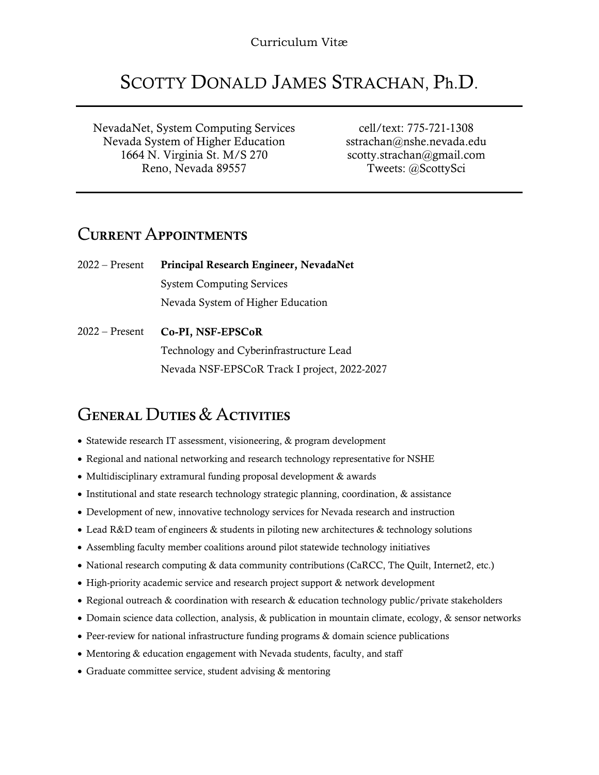## SCOTTY DONALD JAMES STRACHAN, Ph.D.

NevadaNet, System Computing Services Nevada System of Higher Education 1664 N. Virginia St. M/S 270 Reno, Nevada 89557

cell/text: 775-721-1308 sstrachan@nshe.nevada.edu scotty.strachan@gmail.com Tweets: @ScottySci

#### CURRENT APPOINTMENTS

2022 – Present Principal Research Engineer, NevadaNet System Computing Services Nevada System of Higher Education

2022 – Present Co-PI, NSF-EPSCoR Technology and Cyberinfrastructure Lead Nevada NSF-EPSCoR Track I project, 2022-2027

### GENERAL DUTIES & ACTIVITIES

- Statewide research IT assessment, visioneering, & program development
- Regional and national networking and research technology representative for NSHE
- Multidisciplinary extramural funding proposal development & awards
- Institutional and state research technology strategic planning, coordination, & assistance
- Development of new, innovative technology services for Nevada research and instruction
- Lead R&D team of engineers & students in piloting new architectures & technology solutions
- Assembling faculty member coalitions around pilot statewide technology initiatives
- National research computing & data community contributions (CaRCC, The Quilt, Internet2, etc.)
- High-priority academic service and research project support & network development
- Regional outreach & coordination with research & education technology public/private stakeholders
- Domain science data collection, analysis, & publication in mountain climate, ecology, & sensor networks
- Peer-review for national infrastructure funding programs & domain science publications
- Mentoring & education engagement with Nevada students, faculty, and staff
- Graduate committee service, student advising & mentoring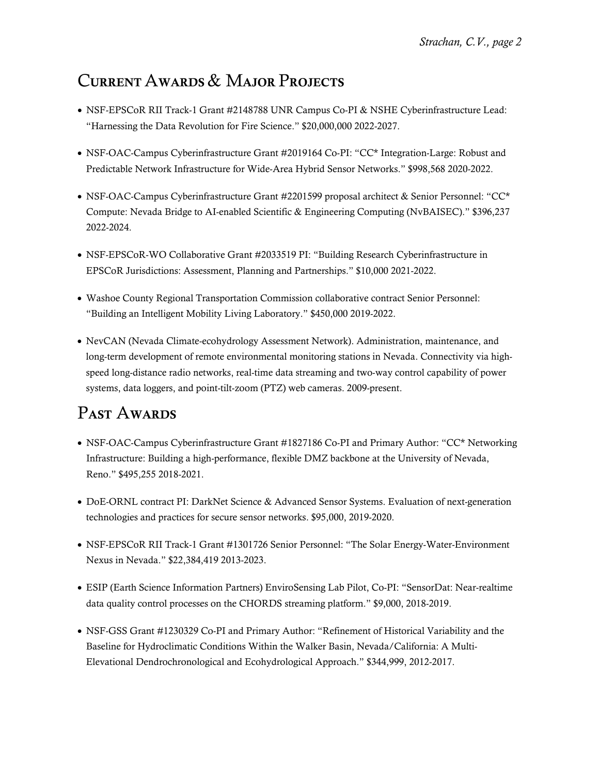## CURRENT AWARDS & MAJOR PROJECTS

- NSF-EPSCoR RII Track-1 Grant #2148788 UNR Campus Co-PI & NSHE Cyberinfrastructure Lead: "Harnessing the Data Revolution for Fire Science." \$20,000,000 2022-2027.
- NSF-OAC-Campus Cyberinfrastructure Grant #2019164 Co-PI: "CC\* Integration-Large: Robust and Predictable Network Infrastructure for Wide-Area Hybrid Sensor Networks." \$998,568 2020-2022.
- NSF-OAC-Campus Cyberinfrastructure Grant #2201599 proposal architect & Senior Personnel: "CC\* Compute: Nevada Bridge to AI-enabled Scientific & Engineering Computing (NvBAISEC)." \$396,237 2022-2024.
- NSF-EPSCoR-WO Collaborative Grant #2033519 PI: "Building Research Cyberinfrastructure in EPSCoR Jurisdictions: Assessment, Planning and Partnerships." \$10,000 2021-2022.
- Washoe County Regional Transportation Commission collaborative contract Senior Personnel: "Building an Intelligent Mobility Living Laboratory." \$450,000 2019-2022.
- NevCAN (Nevada Climate-ecohydrology Assessment Network). Administration, maintenance, and long-term development of remote environmental monitoring stations in Nevada. Connectivity via highspeed long-distance radio networks, real-time data streaming and two-way control capability of power systems, data loggers, and point-tilt-zoom (PTZ) web cameras. 2009-present.

## PAST AWARDS

- NSF-OAC-Campus Cyberinfrastructure Grant #1827186 Co-PI and Primary Author: "CC\* Networking Infrastructure: Building a high-performance, flexible DMZ backbone at the University of Nevada, Reno." \$495,255 2018-2021.
- DoE-ORNL contract PI: DarkNet Science & Advanced Sensor Systems. Evaluation of next-generation technologies and practices for secure sensor networks. \$95,000, 2019-2020.
- NSF-EPSCoR RII Track-1 Grant #1301726 Senior Personnel: "The Solar Energy-Water-Environment Nexus in Nevada." \$22,384,419 2013-2023.
- ESIP (Earth Science Information Partners) EnviroSensing Lab Pilot, Co-PI: "SensorDat: Near-realtime data quality control processes on the CHORDS streaming platform." \$9,000, 2018-2019.
- NSF-GSS Grant #1230329 Co-PI and Primary Author: "Refinement of Historical Variability and the Baseline for Hydroclimatic Conditions Within the Walker Basin, Nevada/California: A Multi-Elevational Dendrochronological and Ecohydrological Approach." \$344,999, 2012-2017.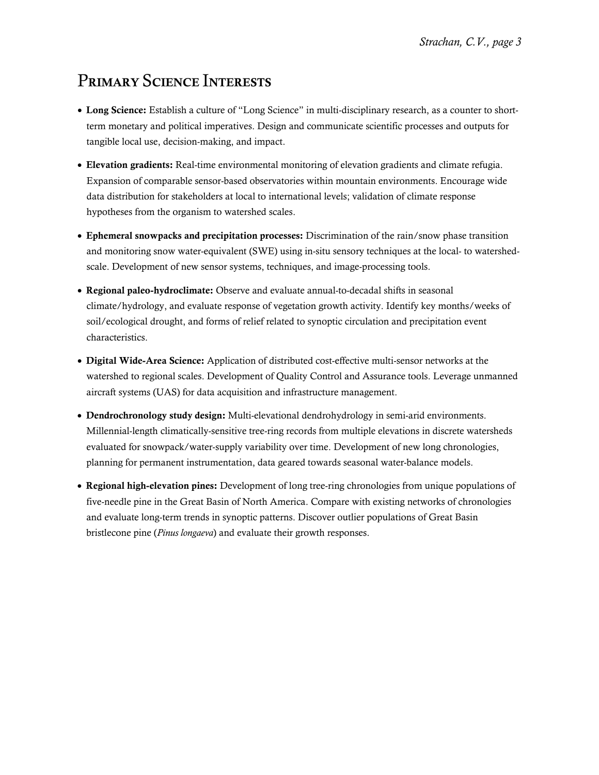## PRIMARY SCIENCE INTERESTS

- Long Science: Establish a culture of "Long Science" in multi-disciplinary research, as a counter to shortterm monetary and political imperatives. Design and communicate scientific processes and outputs for tangible local use, decision-making, and impact.
- Elevation gradients: Real-time environmental monitoring of elevation gradients and climate refugia. Expansion of comparable sensor-based observatories within mountain environments. Encourage wide data distribution for stakeholders at local to international levels; validation of climate response hypotheses from the organism to watershed scales.
- Ephemeral snowpacks and precipitation processes: Discrimination of the rain/snow phase transition and monitoring snow water-equivalent (SWE) using in-situ sensory techniques at the local- to watershedscale. Development of new sensor systems, techniques, and image-processing tools.
- Regional paleo-hydroclimate: Observe and evaluate annual-to-decadal shifts in seasonal climate/hydrology, and evaluate response of vegetation growth activity. Identify key months/weeks of soil/ecological drought, and forms of relief related to synoptic circulation and precipitation event characteristics.
- Digital Wide-Area Science: Application of distributed cost-effective multi-sensor networks at the watershed to regional scales. Development of Quality Control and Assurance tools. Leverage unmanned aircraft systems (UAS) for data acquisition and infrastructure management.
- Dendrochronology study design: Multi-elevational dendrohydrology in semi-arid environments. Millennial-length climatically-sensitive tree-ring records from multiple elevations in discrete watersheds evaluated for snowpack/water-supply variability over time. Development of new long chronologies, planning for permanent instrumentation, data geared towards seasonal water-balance models.
- Regional high-elevation pines: Development of long tree-ring chronologies from unique populations of five-needle pine in the Great Basin of North America. Compare with existing networks of chronologies and evaluate long-term trends in synoptic patterns. Discover outlier populations of Great Basin bristlecone pine (*Pinus longaeva*) and evaluate their growth responses.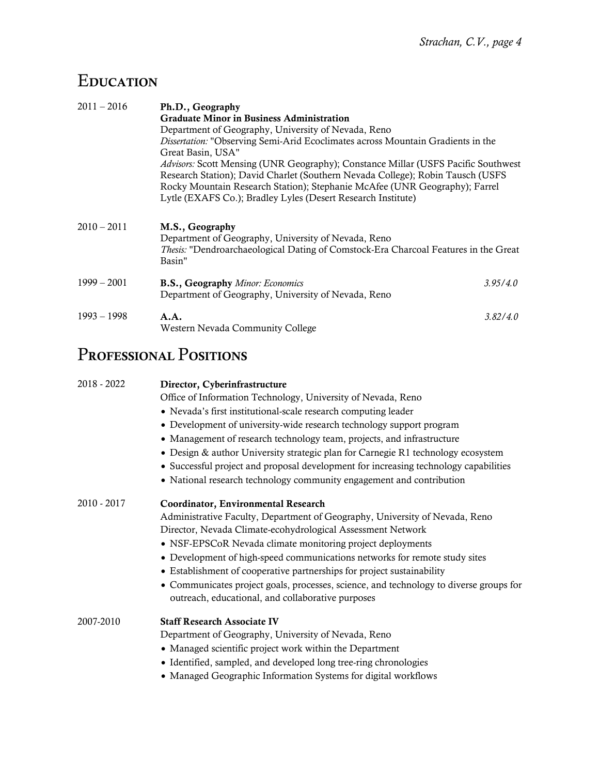# **EDUCATION**

| $2011 - 2016$ | Ph.D., Geography                                                                                     |          |
|---------------|------------------------------------------------------------------------------------------------------|----------|
|               | <b>Graduate Minor in Business Administration</b>                                                     |          |
|               | Department of Geography, University of Nevada, Reno                                                  |          |
|               | Dissertation: "Observing Semi-Arid Ecoclimates across Mountain Gradients in the<br>Great Basin, USA" |          |
|               | Advisors: Scott Mensing (UNR Geography); Constance Millar (USFS Pacific Southwest                    |          |
|               | Research Station); David Charlet (Southern Nevada College); Robin Tausch (USFS                       |          |
|               | Rocky Mountain Research Station); Stephanie McAfee (UNR Geography); Farrel                           |          |
|               | Lytle (EXAFS Co.); Bradley Lyles (Desert Research Institute)                                         |          |
| $2010 - 2011$ | M.S., Geography                                                                                      |          |
|               | Department of Geography, University of Nevada, Reno                                                  |          |
|               | <i>Thesis:</i> "Dendroarchaeological Dating of Comstock-Era Charcoal Features in the Great           |          |
|               | Basin"                                                                                               |          |
| $1999 - 2001$ | <b>B.S., Geography Minor: Economics</b>                                                              | 3.95/4.0 |
|               | Department of Geography, University of Nevada, Reno                                                  |          |
| $1993 - 1998$ | A.A.                                                                                                 | 3.82/4.0 |
|               | Western Nevada Community College                                                                     |          |

# PROFESSIONAL POSITIONS

| 2018 - 2022 | Director, Cyberinfrastructure                                                                                                               |
|-------------|---------------------------------------------------------------------------------------------------------------------------------------------|
|             | Office of Information Technology, University of Nevada, Reno                                                                                |
|             | • Nevada's first institutional-scale research computing leader                                                                              |
|             | • Development of university-wide research technology support program                                                                        |
|             | • Management of research technology team, projects, and infrastructure                                                                      |
|             | • Design & author University strategic plan for Carnegie R1 technology ecosystem                                                            |
|             | • Successful project and proposal development for increasing technology capabilities                                                        |
|             | • National research technology community engagement and contribution                                                                        |
| 2010 - 2017 | Coordinator, Environmental Research                                                                                                         |
|             | Administrative Faculty, Department of Geography, University of Nevada, Reno                                                                 |
|             | Director, Nevada Climate-ecohydrological Assessment Network                                                                                 |
|             | • NSF-EPSCoR Nevada climate monitoring project deployments                                                                                  |
|             | • Development of high-speed communications networks for remote study sites                                                                  |
|             | • Establishment of cooperative partnerships for project sustainability                                                                      |
|             | • Communicates project goals, processes, science, and technology to diverse groups for<br>outreach, educational, and collaborative purposes |
| 2007-2010   | <b>Staff Research Associate IV</b>                                                                                                          |
|             | Department of Geography, University of Nevada, Reno                                                                                         |
|             | • Managed scientific project work within the Department                                                                                     |
|             | • Identified, sampled, and developed long tree-ring chronologies                                                                            |
|             | • Managed Geographic Information Systems for digital workflows                                                                              |
|             |                                                                                                                                             |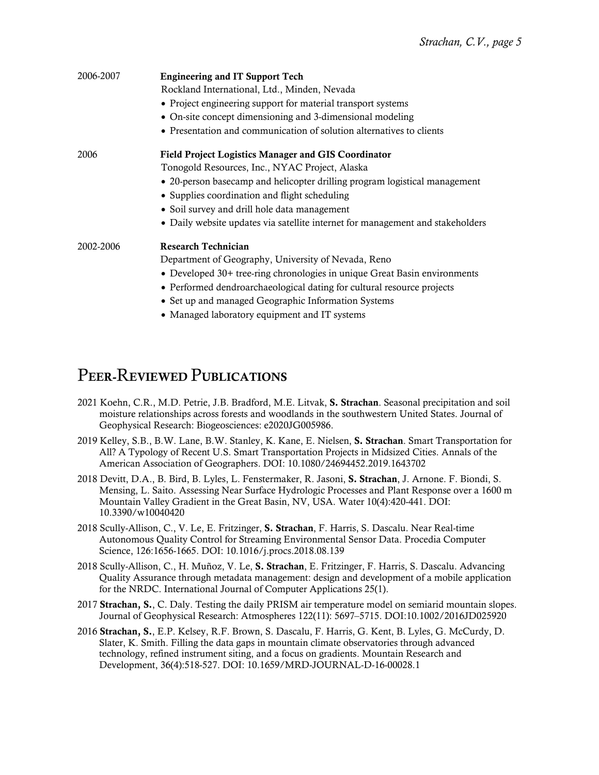| 2006-2007 | <b>Engineering and IT Support Tech</b>                                         |  |
|-----------|--------------------------------------------------------------------------------|--|
|           | Rockland International, Ltd., Minden, Nevada                                   |  |
|           | • Project engineering support for material transport systems                   |  |
|           | • On-site concept dimensioning and 3-dimensional modeling                      |  |
|           | • Presentation and communication of solution alternatives to clients           |  |
| 2006      | <b>Field Project Logistics Manager and GIS Coordinator</b>                     |  |
|           | Tonogold Resources, Inc., NYAC Project, Alaska                                 |  |
|           | • 20-person basecamp and helicopter drilling program logistical management     |  |
|           | • Supplies coordination and flight scheduling                                  |  |
|           | • Soil survey and drill hole data management                                   |  |
|           | • Daily website updates via satellite internet for management and stakeholders |  |
| 2002-2006 | <b>Research Technician</b>                                                     |  |
|           | Department of Geography, University of Nevada, Reno                            |  |
|           | • Developed 30+ tree-ring chronologies in unique Great Basin environments      |  |
|           | • Performed dendroarchaeological dating for cultural resource projects         |  |
|           | • Set up and managed Geographic Information Systems                            |  |
|           | • Managed laboratory equipment and IT systems                                  |  |

#### PEER-REVIEWED PUBLICATIONS

- 2021 Koehn, C.R., M.D. Petrie, J.B. Bradford, M.E. Litvak, S. Strachan. Seasonal precipitation and soil moisture relationships across forests and woodlands in the southwestern United States. Journal of Geophysical Research: Biogeosciences: e2020JG005986.
- 2019 Kelley, S.B., B.W. Lane, B.W. Stanley, K. Kane, E. Nielsen, S. Strachan. Smart Transportation for All? A Typology of Recent U.S. Smart Transportation Projects in Midsized Cities. Annals of the American Association of Geographers. DOI: 10.1080/24694452.2019.1643702
- 2018 Devitt, D.A., B. Bird, B. Lyles, L. Fenstermaker, R. Jasoni, S. Strachan, J. Arnone. F. Biondi, S. Mensing, L. Saito. Assessing Near Surface Hydrologic Processes and Plant Response over a 1600 m Mountain Valley Gradient in the Great Basin, NV, USA. Water 10(4):420-441. DOI: 10.3390/w10040420
- 2018 Scully-Allison, C., V. Le, E. Fritzinger, S. Strachan, F. Harris, S. Dascalu. Near Real-time Autonomous Quality Control for Streaming Environmental Sensor Data. Procedia Computer Science, 126:1656-1665. DOI: 10.1016/j.procs.2018.08.139
- 2018 Scully-Allison, C., H. Muñoz, V. Le, S. Strachan, E. Fritzinger, F. Harris, S. Dascalu. Advancing Quality Assurance through metadata management: design and development of a mobile application for the NRDC. International Journal of Computer Applications 25(1).
- 2017 Strachan, S., C. Daly. Testing the daily PRISM air temperature model on semiarid mountain slopes. Journal of Geophysical Research: Atmospheres 122(11): 5697–5715. DOI:10.1002/2016JD025920
- 2016 Strachan, S., E.P. Kelsey, R.F. Brown, S. Dascalu, F. Harris, G. Kent, B. Lyles, G. McCurdy, D. Slater, K. Smith. Filling the data gaps in mountain climate observatories through advanced technology, refined instrument siting, and a focus on gradients. Mountain Research and Development, 36(4):518-527. DOI: 10.1659/MRD-JOURNAL-D-16-00028.1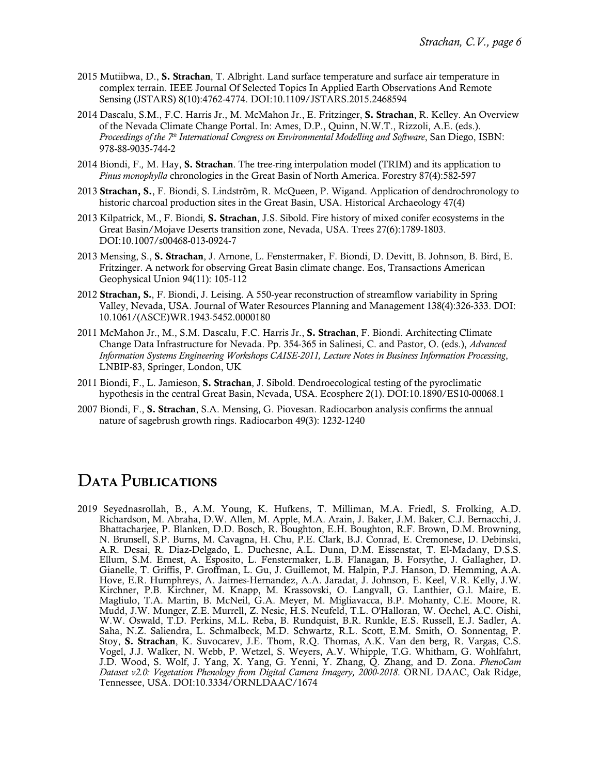- 2015 Mutiibwa, D., S. Strachan, T. Albright. Land surface temperature and surface air temperature in complex terrain. IEEE Journal Of Selected Topics In Applied Earth Observations And Remote Sensing (JSTARS) 8(10):4762-4774. DOI:10.1109/JSTARS.2015.2468594
- 2014 Dascalu, S.M., F.C. Harris Jr., M. McMahon Jr., E. Fritzinger, S. Strachan, R. Kelley. An Overview of the Nevada Climate Change Portal. In: Ames, D.P., Quinn, N.W.T., Rizzoli, A.E. (eds.). *Proceedings of the 7th International Congress on Environmental Modelling and Software*, San Diego, ISBN: 978-88-9035-744-2
- 2014 Biondi, F.*,* M. Hay, S. Strachan. The tree-ring interpolation model (TRIM) and its application to *Pinus monophylla* chronologies in the Great Basin of North America. Forestry 87(4):582-597
- 2013 Strachan, S., F. Biondi, S. Lindström, R. McQueen, P. Wigand. Application of dendrochronology to historic charcoal production sites in the Great Basin, USA. Historical Archaeology 47(4)
- 2013 Kilpatrick, M., F. Biondi*,* S. Strachan, J.S. Sibold. Fire history of mixed conifer ecosystems in the Great Basin/Mojave Deserts transition zone, Nevada, USA. Trees 27(6):1789-1803. DOI:10.1007/s00468-013-0924-7
- 2013 Mensing, S., S. Strachan, J. Arnone, L. Fenstermaker, F. Biondi, D. Devitt, B. Johnson, B. Bird, E. Fritzinger. A network for observing Great Basin climate change. Eos, Transactions American Geophysical Union 94(11): 105-112
- 2012 Strachan, S*.*, F. Biondi, J. Leising. A 550-year reconstruction of streamflow variability in Spring Valley, Nevada, USA. Journal of Water Resources Planning and Management 138(4):326-333. DOI: 10.1061/(ASCE)WR.1943-5452.0000180
- 2011 McMahon Jr., M., S.M. Dascalu, F.C. Harris Jr., S. Strachan, F. Biondi. Architecting Climate Change Data Infrastructure for Nevada. Pp. 354-365 in Salinesi, C. and Pastor, O. (eds.), *Advanced Information Systems Engineering Workshops CAISE-2011, Lecture Notes in Business Information Processing*, LNBIP-83, Springer, London, UK
- 2011 Biondi, F., L. Jamieson, S. Strachan, J. Sibold. Dendroecological testing of the pyroclimatic hypothesis in the central Great Basin, Nevada, USA. Ecosphere 2(1). DOI:10.1890/ES10-00068.1
- 2007 Biondi, F., S. Strachan, S.A. Mensing, G. Piovesan. Radiocarbon analysis confirms the annual nature of sagebrush growth rings. Radiocarbon 49(3): 1232-1240

#### DATA PUBLICATIONS

2019 Seyednasrollah, B., A.M. Young, K. Hufkens, T. Milliman, M.A. Friedl, S. Frolking, A.D. Richardson, M. Abraha, D.W. Allen, M. Apple, M.A. Arain, J. Baker, J.M. Baker, C.J. Bernacchi, J. Bhattacharjee, P. Blanken, D.D. Bosch, R. Boughton, E.H. Boughton, R.F. Brown, D.M. Browning, N. Brunsell, S.P. Burns, M. Cavagna, H. Chu, P.E. Clark, B.J. Conrad, E. Cremonese, D. Debinski, A.R. Desai, R. Diaz-Delgado, L. Duchesne, A.L. Dunn, D.M. Eissenstat, T. El-Madany, D.S.S. Ellum, S.M. Ernest, A. Esposito, L. Fenstermaker, L.B. Flanagan, B. Forsythe, J. Gallagher, D. Gianelle, T. Griffis, P. Groffman, L. Gu, J. Guillemot, M. Halpin, P.J. Hanson, D. Hemming, A.A. Hove, E.R. Humphreys, A. Jaimes-Hernandez, A.A. Jaradat, J. Johnson, E. Keel, V.R. Kelly, J.W. Kirchner, P.B. Kirchner, M. Knapp, M. Krassovski, O. Langvall, G. Lanthier, G.l. Maire, E. Magliulo, T.A. Martin, B. McNeil, G.A. Meyer, M. Migliavacca, B.P. Mohanty, C.E. Moore, R. Mudd, J.W. Munger, Z.E. Murrell, Z. Nesic, H.S. Neufeld, T.L. O'Halloran, W. Oechel, A.C. Oishi, W.W. Oswald, T.D. Perkins, M.L. Reba, B. Rundquist, B.R. Runkle, E.S. Russell, E.J. Sadler, A. Saha, N.Z. Saliendra, L. Schmalbeck, M.D. Schwartz, R.L. Scott, E.M. Smith, O. Sonnentag, P. Stoy, S. Strachan, K. Suvocarev, J.E. Thom, R.Q. Thomas, A.K. Van den berg, R. Vargas, C.S. Vogel, J.J. Walker, N. Webb, P. Wetzel, S. Weyers, A.V. Whipple, T.G. Whitham, G. Wohlfahrt, J.D. Wood, S. Wolf, J. Yang, X. Yang, G. Yenni, Y. Zhang, Q. Zhang, and D. Zona. *PhenoCam Dataset v2.0: Vegetation Phenology from Digital Camera Imagery, 2000-2018*. ORNL DAAC, Oak Ridge, Tennessee, USA. DOI:10.3334/ORNLDAAC/1674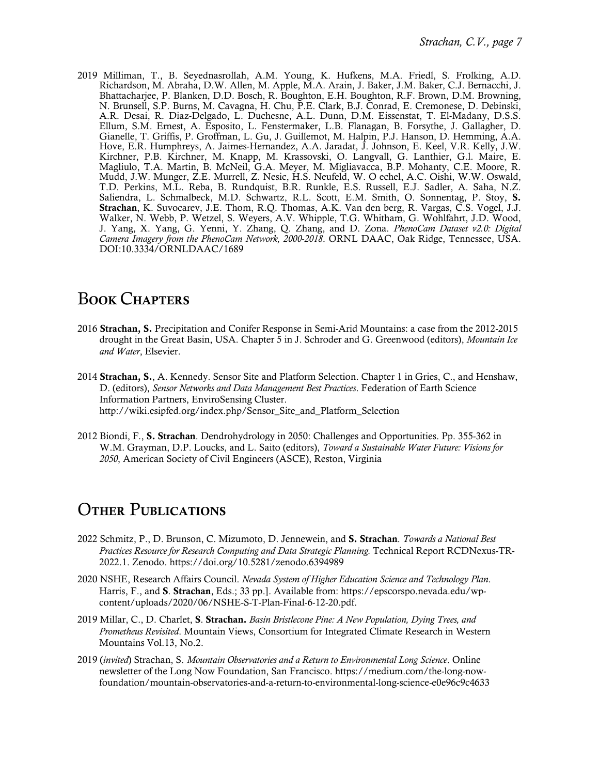2019 Milliman, T., B. Seyednasrollah, A.M. Young, K. Hufkens, M.A. Friedl, S. Frolking, A.D. Richardson, M. Abraha, D.W. Allen, M. Apple, M.A. Arain, J. Baker, J.M. Baker, C.J. Bernacchi, J. Bhattacharjee, P. Blanken, D.D. Bosch, R. Boughton, E.H. Boughton, R.F. Brown, D.M. Browning, N. Brunsell, S.P. Burns, M. Cavagna, H. Chu, P.E. Clark, B.J. Conrad, E. Cremonese, D. Debinski, A.R. Desai, R. Diaz-Delgado, L. Duchesne, A.L. Dunn, D.M. Eissenstat, T. El-Madany, D.S.S. Ellum, S.M. Ernest, A. Esposito, L. Fenstermaker, L.B. Flanagan, B. Forsythe, J. Gallagher, D. Gianelle, T. Griffis, P. Groffman, L. Gu, J. Guillemot, M. Halpin, P.J. Hanson, D. Hemming, A.A. Hove, E.R. Humphreys, A. Jaimes-Hernandez, A.A. Jaradat, J. Johnson, E. Keel, V.R. Kelly, J.W. Kirchner, P.B. Kirchner, M. Knapp, M. Krassovski, O. Langvall, G. Lanthier, G.l. Maire, E. Magliulo, T.A. Martin, B. McNeil, G.A. Meyer, M. Migliavacca, B.P. Mohanty, C.E. Moore, R. Mudd, J.W. Munger, Z.E. Murrell, Z. Nesic, H.S. Neufeld, W. O echel, A.C. Oishi, W.W. Oswald, T.D. Perkins, M.L. Reba, B. Rundquist, B.R. Runkle, E.S. Russell, E.J. Sadler, A. Saha, N.Z. Saliendra, L. Schmalbeck, M.D. Schwartz, R.L. Scott, E.M. Smith, O. Sonnentag, P. Stoy, S. Strachan, K. Suvocarev, J.E. Thom, R.Q. Thomas, A.K. Van den berg, R. Vargas, C.S. Vogel, J.J. Walker, N. Webb, P. Wetzel, S. Weyers, A.V. Whipple, T.G. Whitham, G. Wohlfahrt, J.D. Wood, J. Yang, X. Yang, G. Yenni, Y. Zhang, Q. Zhang, and D. Zona. *PhenoCam Dataset v2.0: Digital Camera Imagery from the PhenoCam Network, 2000-2018*. ORNL DAAC, Oak Ridge, Tennessee, USA. DOI:10.3334/ORNLDAAC/1689

#### BOOK CHAPTERS

- 2016 Strachan, S. Precipitation and Conifer Response in Semi-Arid Mountains: a case from the 2012-2015 drought in the Great Basin, USA. Chapter 5 in J. Schroder and G. Greenwood (editors), *Mountain Ice and Water*, Elsevier.
- 2014 Strachan, S., A. Kennedy. Sensor Site and Platform Selection. Chapter 1 in Gries, C., and Henshaw, D. (editors), *Sensor Networks and Data Management Best Practices*. Federation of Earth Science Information Partners, EnviroSensing Cluster. http://wiki.esipfed.org/index.php/Sensor\_Site\_and\_Platform\_Selection
- 2012 Biondi, F*.*, S. Strachan. Dendrohydrology in 2050: Challenges and Opportunities. Pp. 355-362 in W.M. Grayman, D.P. Loucks, and L. Saito (editors), *Toward a Sustainable Water Future: Visions for 2050*, American Society of Civil Engineers (ASCE), Reston, Virginia

#### **OTHER PUBLICATIONS**

- 2022 Schmitz, P., D. Brunson, C. Mizumoto, D. Jennewein, and S. Strachan. *Towards a National Best Practices Resource for Research Computing and Data Strategic Planning.* Technical Report RCDNexus-TR-2022.1. Zenodo. https://doi.org/10.5281/zenodo.6394989
- 2020 NSHE, Research Affairs Council. *Nevada System of Higher Education Science and Technology Plan*. Harris, F., and S. Strachan, Eds.; 33 pp.]. Available from: https://epscorspo.nevada.edu/wpcontent/uploads/2020/06/NSHE-S-T-Plan-Final-6-12-20.pdf.
- 2019 Millar, C., D. Charlet, S. Strachan. *Basin Bristlecone Pine: A New Population, Dying Trees, and Prometheus Revisited*. Mountain Views, Consortium for Integrated Climate Research in Western Mountains Vol.13, No.2.
- 2019 (*invited*) Strachan, S. *Mountain Observatories and a Return to Environmental Long Science*. Online newsletter of the Long Now Foundation, San Francisco. https://medium.com/the-long-nowfoundation/mountain-observatories-and-a-return-to-environmental-long-science-e0e96c9c4633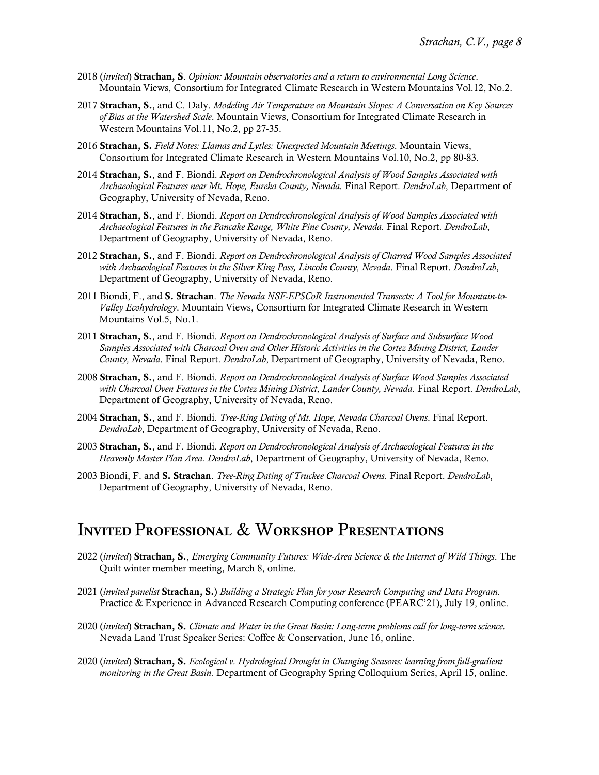- 2018 (*invited*) Strachan, S. *Opinion: Mountain observatories and a return to environmental Long Science*. Mountain Views, Consortium for Integrated Climate Research in Western Mountains Vol.12, No.2.
- 2017 Strachan, S., and C. Daly. *Modeling Air Temperature on Mountain Slopes: A Conversation on Key Sources of Bias at the Watershed Scale*. Mountain Views, Consortium for Integrated Climate Research in Western Mountains Vol.11, No.2, pp 27-35.
- 2016 Strachan, S. *Field Notes: Llamas and Lytles: Unexpected Mountain Meetings*. Mountain Views, Consortium for Integrated Climate Research in Western Mountains Vol.10, No.2, pp 80-83.
- 2014 Strachan, S., and F. Biondi. *Report on Dendrochronological Analysis of Wood Samples Associated with Archaeological Features near Mt. Hope, Eureka County, Nevada.* Final Report. *DendroLab*, Department of Geography, University of Nevada, Reno.
- 2014 Strachan, S., and F. Biondi. *Report on Dendrochronological Analysis of Wood Samples Associated with Archaeological Features in the Pancake Range, White Pine County, Nevada.* Final Report. *DendroLab*, Department of Geography, University of Nevada, Reno.
- 2012 Strachan, S., and F. Biondi. *Report on Dendrochronological Analysis of Charred Wood Samples Associated with Archaeological Features in the Silver King Pass, Lincoln County, Nevada*. Final Report. *DendroLab*, Department of Geography, University of Nevada, Reno.
- 2011 Biondi, F., and S. Strachan. *The Nevada NSF-EPSCoR Instrumented Transects: A Tool for Mountain-to-Valley Ecohydrology*. Mountain Views, Consortium for Integrated Climate Research in Western Mountains Vol.5, No.1.
- 2011 Strachan, S., and F. Biondi. *Report on Dendrochronological Analysis of Surface and Subsurface Wood Samples Associated with Charcoal Oven and Other Historic Activities in the Cortez Mining District, Lander County, Nevada*. Final Report. *DendroLab*, Department of Geography, University of Nevada, Reno.
- 2008 Strachan, S., and F. Biondi. *Report on Dendrochronological Analysis of Surface Wood Samples Associated with Charcoal Oven Features in the Cortez Mining District, Lander County, Nevada*. Final Report. *DendroLab*, Department of Geography, University of Nevada, Reno.
- 2004 Strachan, S., and F. Biondi. *Tree-Ring Dating of Mt. Hope, Nevada Charcoal Ovens*. Final Report. *DendroLab*, Department of Geography, University of Nevada, Reno.
- 2003 Strachan, S., and F. Biondi. *Report on Dendrochronological Analysis of Archaeological Features in the Heavenly Master Plan Area. DendroLab*, Department of Geography, University of Nevada, Reno.
- 2003 Biondi, F. and S. Strachan. *Tree-Ring Dating of Truckee Charcoal Ovens*. Final Report. *DendroLab*, Department of Geography, University of Nevada, Reno.

#### INVITED PROFESSIONAL & WORKSHOP PRESENTATIONS

- 2022 (*invited*) Strachan, S., *Emerging Community Futures: Wide-Area Science & the Internet of Wild Things*. The Quilt winter member meeting, March 8, online.
- 2021 (*invited panelist* Strachan, S.) *Building a Strategic Plan for your Research Computing and Data Program.* Practice & Experience in Advanced Research Computing conference (PEARC'21), July 19, online.
- 2020 (*invited*) Strachan, S. *Climate and Water in the Great Basin: Long-term problems call for long-term science.* Nevada Land Trust Speaker Series: Coffee & Conservation, June 16, online.
- 2020 (*invited*) Strachan, S. *Ecological v. Hydrological Drought in Changing Seasons: learning from full-gradient monitoring in the Great Basin.* Department of Geography Spring Colloquium Series, April 15, online.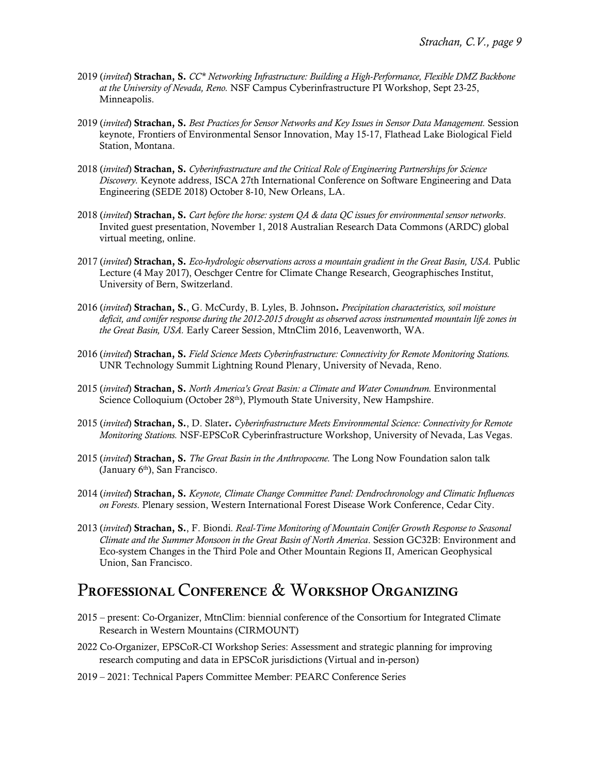- 2019 (*invited*) Strachan, S. *CC\* Networking Infrastructure: Building a High-Performance, Flexible DMZ Backbone at the University of Nevada, Reno.* NSF Campus Cyberinfrastructure PI Workshop, Sept 23-25, Minneapolis.
- 2019 (*invited*) Strachan, S. *Best Practices for Sensor Networks and Key Issues in Sensor Data Management.* Session keynote, Frontiers of Environmental Sensor Innovation, May 15-17, Flathead Lake Biological Field Station, Montana.
- 2018 (*invited*) Strachan, S. *Cyberinfrastructure and the Critical Role of Engineering Partnerships for Science Discovery.* Keynote address, ISCA 27th International Conference on Software Engineering and Data Engineering (SEDE 2018) October 8-10, New Orleans, LA.
- 2018 (*invited*) Strachan, S. *Cart before the horse: system QA & data QC issues for environmental sensor networks*. Invited guest presentation, November 1, 2018 Australian Research Data Commons (ARDC) global virtual meeting, online.
- 2017 (*invited*) Strachan, S. *Eco-hydrologic observations across a mountain gradient in the Great Basin, USA.* Public Lecture (4 May 2017), Oeschger Centre for Climate Change Research, Geographisches Institut, University of Bern, Switzerland.
- 2016 (*invited*) Strachan, S., G. McCurdy, B. Lyles, B. Johnson. *Precipitation characteristics, soil moisture deficit, and conifer response during the 2012-2015 drought as observed across instrumented mountain life zones in the Great Basin, USA.* Early Career Session, MtnClim 2016, Leavenworth, WA.
- 2016 (*invited*) Strachan, S. *Field Science Meets Cyberinfrastructure: Connectivity for Remote Monitoring Stations.* UNR Technology Summit Lightning Round Plenary, University of Nevada, Reno.
- 2015 (*invited*) Strachan, S. *North America's Great Basin: a Climate and Water Conundrum.* Environmental Science Colloquium (October 28<sup>th</sup>), Plymouth State University, New Hampshire.
- 2015 (*invited*) Strachan, S., D. Slater. *Cyberinfrastructure Meets Environmental Science: Connectivity for Remote Monitoring Stations.* NSF-EPSCoR Cyberinfrastructure Workshop, University of Nevada, Las Vegas.
- 2015 (*invited*) Strachan, S. *The Great Basin in the Anthropocene.* The Long Now Foundation salon talk (January  $6<sup>th</sup>$ ), San Francisco.
- 2014 (*invited*) Strachan, S. *Keynote, Climate Change Committee Panel: Dendrochronology and Climatic Influences on Forests*. Plenary session, Western International Forest Disease Work Conference, Cedar City.
- 2013 (*invited*) Strachan, S., F. Biondi*. Real-Time Monitoring of Mountain Conifer Growth Response to Seasonal Climate and the Summer Monsoon in the Great Basin of North America*. Session GC32B: Environment and Eco-system Changes in the Third Pole and Other Mountain Regions II, American Geophysical Union, San Francisco.

## PROFESSIONAL CONFERENCE & WORKSHOP ORGANIZING

- 2015 present: Co-Organizer, MtnClim: biennial conference of the Consortium for Integrated Climate Research in Western Mountains (CIRMOUNT)
- 2022 Co-Organizer, EPSCoR-CI Workshop Series: Assessment and strategic planning for improving research computing and data in EPSCoR jurisdictions (Virtual and in-person)
- 2019 2021: Technical Papers Committee Member: PEARC Conference Series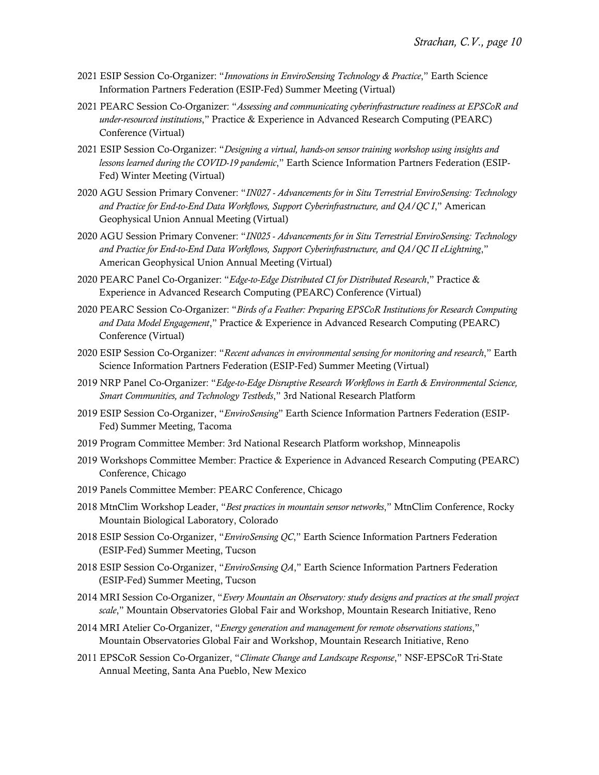- 2021 ESIP Session Co-Organizer: "*Innovations in EnviroSensing Technology & Practice*," Earth Science Information Partners Federation (ESIP-Fed) Summer Meeting (Virtual)
- 2021 PEARC Session Co-Organizer: "*Assessing and communicating cyberinfrastructure readiness at EPSCoR and under-resourced institutions*," Practice & Experience in Advanced Research Computing (PEARC) Conference (Virtual)
- 2021 ESIP Session Co-Organizer: "*Designing a virtual, hands-on sensor training workshop using insights and lessons learned during the COVID-19 pandemic*," Earth Science Information Partners Federation (ESIP-Fed) Winter Meeting (Virtual)
- 2020 AGU Session Primary Convener: "*IN027 - Advancements for in Situ Terrestrial EnviroSensing: Technology and Practice for End-to-End Data Workflows, Support Cyberinfrastructure, and QA/QC I*," American Geophysical Union Annual Meeting (Virtual)
- 2020 AGU Session Primary Convener: "*IN025 - Advancements for in Situ Terrestrial EnviroSensing: Technology and Practice for End-to-End Data Workflows, Support Cyberinfrastructure, and QA/QC II eLightning*," American Geophysical Union Annual Meeting (Virtual)
- 2020 PEARC Panel Co-Organizer: "*Edge-to-Edge Distributed CI for Distributed Research*," Practice & Experience in Advanced Research Computing (PEARC) Conference (Virtual)
- 2020 PEARC Session Co-Organizer: "*Birds of a Feather: Preparing EPSCoR Institutions for Research Computing and Data Model Engagement*," Practice & Experience in Advanced Research Computing (PEARC) Conference (Virtual)
- 2020 ESIP Session Co-Organizer: "*Recent advances in environmental sensing for monitoring and research*," Earth Science Information Partners Federation (ESIP-Fed) Summer Meeting (Virtual)
- 2019 NRP Panel Co-Organizer: "*Edge-to-Edge Disruptive Research Workflows in Earth & Environmental Science, Smart Communities, and Technology Testbeds*," 3rd National Research Platform
- 2019 ESIP Session Co-Organizer, "*EnviroSensing*" Earth Science Information Partners Federation (ESIP-Fed) Summer Meeting, Tacoma
- 2019 Program Committee Member: 3rd National Research Platform workshop, Minneapolis
- 2019 Workshops Committee Member: Practice & Experience in Advanced Research Computing (PEARC) Conference, Chicago
- 2019 Panels Committee Member: PEARC Conference, Chicago
- 2018 MtnClim Workshop Leader, "*Best practices in mountain sensor networks*," MtnClim Conference, Rocky Mountain Biological Laboratory, Colorado
- 2018 ESIP Session Co-Organizer, "*EnviroSensing QC*," Earth Science Information Partners Federation (ESIP-Fed) Summer Meeting, Tucson
- 2018 ESIP Session Co-Organizer, "*EnviroSensing QA*," Earth Science Information Partners Federation (ESIP-Fed) Summer Meeting, Tucson
- 2014 MRI Session Co-Organizer, "*Every Mountain an Observatory: study designs and practices at the small project scale*," Mountain Observatories Global Fair and Workshop, Mountain Research Initiative, Reno
- 2014 MRI Atelier Co-Organizer, "*Energy generation and management for remote observations stations*," Mountain Observatories Global Fair and Workshop, Mountain Research Initiative, Reno
- 2011 EPSCoR Session Co-Organizer, "*Climate Change and Landscape Response*," NSF-EPSCoR Tri-State Annual Meeting, Santa Ana Pueblo, New Mexico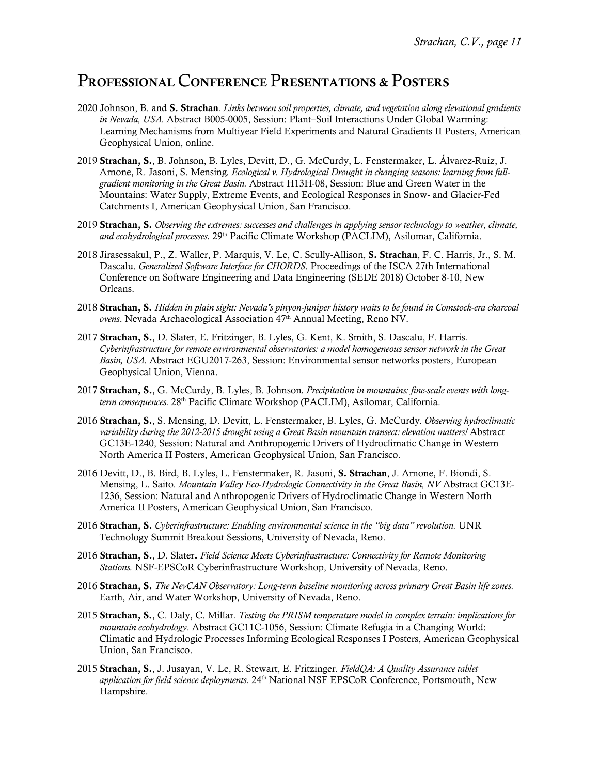#### PROFESSIONAL CONFERENCE PRESENTATIONS & POSTERS

- 2020 Johnson, B. and S. Strachan*. Links between soil properties, climate, and vegetation along elevational gradients in Nevada, USA.* Abstract B005-0005, Session: Plant–Soil Interactions Under Global Warming: Learning Mechanisms from Multiyear Field Experiments and Natural Gradients II Posters, American Geophysical Union, online.
- 2019 Strachan, S., B. Johnson, B. Lyles, Devitt, D., G. McCurdy, L. Fenstermaker, L. Álvarez-Ruiz, J. Arnone, R. Jasoni, S. Mensing*. Ecological v. Hydrological Drought in changing seasons: learning from fullgradient monitoring in the Great Basin.* Abstract H13H-08, Session: Blue and Green Water in the Mountains: Water Supply, Extreme Events, and Ecological Responses in Snow- and Glacier-Fed Catchments I, American Geophysical Union, San Francisco.
- 2019 Strachan, S. *Observing the extremes: successes and challenges in applying sensor technology to weather, climate,*  and ecohydrological processes. 29<sup>th</sup> Pacific Climate Workshop (PACLIM), Asilomar, California.
- 2018 Jirasessakul, P., Z. Waller, P. Marquis, V. Le, C. Scully-Allison, S. Strachan, F. C. Harris, Jr., S. M. Dascalu. *Generalized Software Interface for CHORDS*. Proceedings of the ISCA 27th International Conference on Software Engineering and Data Engineering (SEDE 2018) October 8-10, New Orleans.
- 2018 Strachan, S. *Hidden in plain sight: Nevada's pinyon-juniper history waits to be found in Comstock-era charcoal ovens*. Nevada Archaeological Association 47th Annual Meeting, Reno NV.
- 2017 Strachan, S., D. Slater, E. Fritzinger, B. Lyles, G. Kent, K. Smith, S. Dascalu, F. Harris*. Cyberinfrastructure for remote environmental observatories: a model homogeneous sensor network in the Great Basin, USA.* Abstract EGU2017-263, Session: Environmental sensor networks posters, European Geophysical Union, Vienna.
- 2017 Strachan, S., G. McCurdy, B. Lyles, B. Johnson*. Precipitation in mountains: fine-scale events with longterm consequences.* 28th Pacific Climate Workshop (PACLIM), Asilomar, California.
- 2016 Strachan, S., S. Mensing, D. Devitt, L. Fenstermaker, B. Lyles, G. McCurdy*. Observing hydroclimatic variability during the 2012-2015 drought using a Great Basin mountain transect: elevation matters!* Abstract GC13E-1240, Session: Natural and Anthropogenic Drivers of Hydroclimatic Change in Western North America II Posters, American Geophysical Union, San Francisco.
- 2016 Devitt, D., B. Bird, B. Lyles, L. Fenstermaker, R. Jasoni, S. Strachan, J. Arnone, F. Biondi, S. Mensing, L. Saito*. Mountain Valley Eco-Hydrologic Connectivity in the Great Basin, NV* Abstract GC13E-1236, Session: Natural and Anthropogenic Drivers of Hydroclimatic Change in Western North America II Posters, American Geophysical Union, San Francisco.
- 2016 Strachan, S. *Cyberinfrastructure: Enabling environmental science in the "big data" revolution.* UNR Technology Summit Breakout Sessions, University of Nevada, Reno.
- 2016 Strachan, S., D. Slater. *Field Science Meets Cyberinfrastructure: Connectivity for Remote Monitoring Stations.* NSF-EPSCoR Cyberinfrastructure Workshop, University of Nevada, Reno.
- 2016 Strachan, S. *The NevCAN Observatory: Long-term baseline monitoring across primary Great Basin life zones.* Earth, Air, and Water Workshop, University of Nevada, Reno.
- 2015 Strachan, S., C. Daly, C. Millar*. Testing the PRISM temperature model in complex terrain: implications for mountain ecohydrology*. Abstract GC11C-1056, Session: Climate Refugia in a Changing World: Climatic and Hydrologic Processes Informing Ecological Responses I Posters, American Geophysical Union, San Francisco.
- 2015 Strachan, S., J. Jusayan, V. Le, R. Stewart, E. Fritzinger. *FieldQA: A Quality Assurance tablet application for field science deployments.* 24th National NSF EPSCoR Conference, Portsmouth, New Hampshire.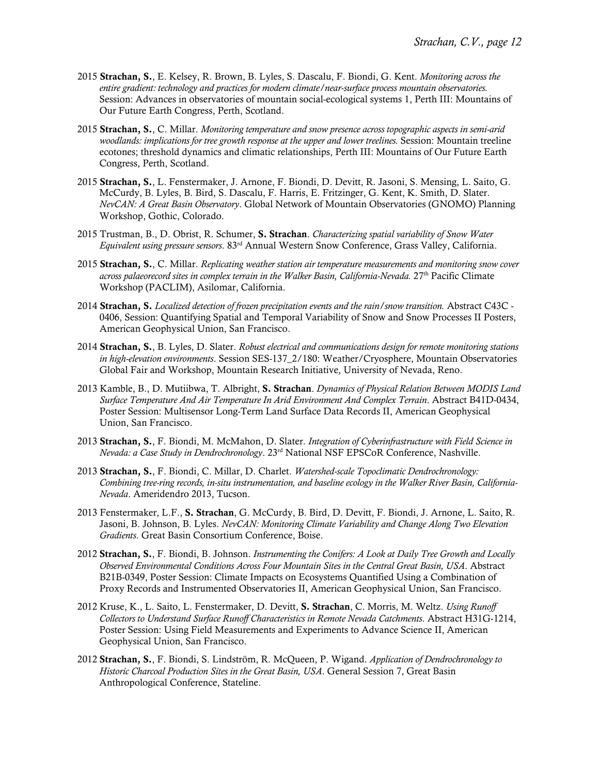- 2015 Strachan, S., E. Kelsey, R. Brown, B. Lyles, S. Dascalu, F. Biondi, G. Kent. *Monitoring across the entire gradient: technology and practices for modern climate/near-surface process mountain observatories.*  Session: Advances in observatories of mountain social-ecological systems 1, Perth III: Mountains of Our Future Earth Congress, Perth, Scotland.
- 2015 Strachan, S., C. Millar. *Monitoring temperature and snow presence across topographic aspects in semi-arid woodlands: implications for tree growth response at the upper and lower treelines.* Session: Mountain treeline ecotones; threshold dynamics and climatic relationships, Perth III: Mountains of Our Future Earth Congress, Perth, Scotland.
- 2015 Strachan, S., L. Fenstermaker, J. Arnone, F. Biondi, D. Devitt, R. Jasoni, S. Mensing, L. Saito, G. McCurdy, B. Lyles, B. Bird, S. Dascalu, F. Harris, E. Fritzinger, G. Kent, K. Smith, D. Slater. *NevCAN: A Great Basin Observatory*. Global Network of Mountain Observatories (GNOMO) Planning Workshop, Gothic, Colorado.
- 2015 Trustman, B., D. Obrist, R. Schumer, S. Strachan. *Characterizing spatial variability of Snow Water Equivalent using pressure sensors*. 83rd Annual Western Snow Conference, Grass Valley, California.
- 2015 Strachan, S., C. Millar. *Replicating weather station air temperature measurements and monitoring snow cover*  across palaeorecord sites in complex terrain in the Walker Basin, California-Nevada. 27<sup>th</sup> Pacific Climate Workshop (PACLIM), Asilomar, California.
- 2014 Strachan, S. *Localized detection of frozen precipitation events and the rain/snow transition.* Abstract C43C 0406, Session: Quantifying Spatial and Temporal Variability of Snow and Snow Processes II Posters, American Geophysical Union, San Francisco.
- 2014 Strachan, S., B. Lyles, D. Slater. *Robust electrical and communications design for remote monitoring stations in high-elevation environments*. Session SES-137\_2/180: Weather/Cryosphere, Mountain Observatories Global Fair and Workshop, Mountain Research Initiative, University of Nevada, Reno.
- 2013 Kamble, B., D. Mutiibwa, T. Albright, S. Strachan. *Dynamics of Physical Relation Between MODIS Land Surface Temperature And Air Temperature In Arid Environment And Complex Terrain*. Abstract B41D-0434, Poster Session: Multisensor Long-Term Land Surface Data Records II, American Geophysical Union, San Francisco.
- 2013 Strachan, S., F. Biondi, M. McMahon, D. Slater. *Integration of Cyberinfrastructure with Field Science in Nevada: a Case Study in Dendrochronology*. 23rd National NSF EPSCoR Conference, Nashville.
- 2013 Strachan, S., F. Biondi, C. Millar, D. Charlet. *Watershed-scale Topoclimatic Dendrochronology: Combining tree-ring records, in-situ instrumentation, and baseline ecology in the Walker River Basin, California-Nevada*. Ameridendro 2013, Tucson.
- 2013 Fenstermaker, L.F., S. Strachan, G. McCurdy, B. Bird, D. Devitt, F. Biondi, J. Arnone, L. Saito, R. Jasoni, B. Johnson, B. Lyles. *NevCAN: Monitoring Climate Variability and Change Along Two Elevation Gradients*. Great Basin Consortium Conference, Boise.
- 2012 Strachan, S., F. Biondi, B. Johnson. *Instrumenting the Conifers: A Look at Daily Tree Growth and Locally Observed Environmental Conditions Across Four Mountain Sites in the Central Great Basin, USA*. Abstract B21B-0349, Poster Session: Climate Impacts on Ecosystems Quantified Using a Combination of Proxy Records and Instrumented Observatories II, American Geophysical Union, San Francisco.
- 2012 Kruse, K., L. Saito, L. Fenstermaker, D. Devitt, S. Strachan, C. Morris, M. Weltz. *Using Runoff Collectors to Understand Surface Runoff Characteristics in Remote Nevada Catchments*. Abstract H31G-1214, Poster Session: Using Field Measurements and Experiments to Advance Science II, American Geophysical Union, San Francisco.
- 2012 Strachan, S., F. Biondi, S. Lindström, R. McQueen, P. Wigand. *Application of Dendrochronology to Historic Charcoal Production Sites in the Great Basin, USA*. General Session 7, Great Basin Anthropological Conference, Stateline.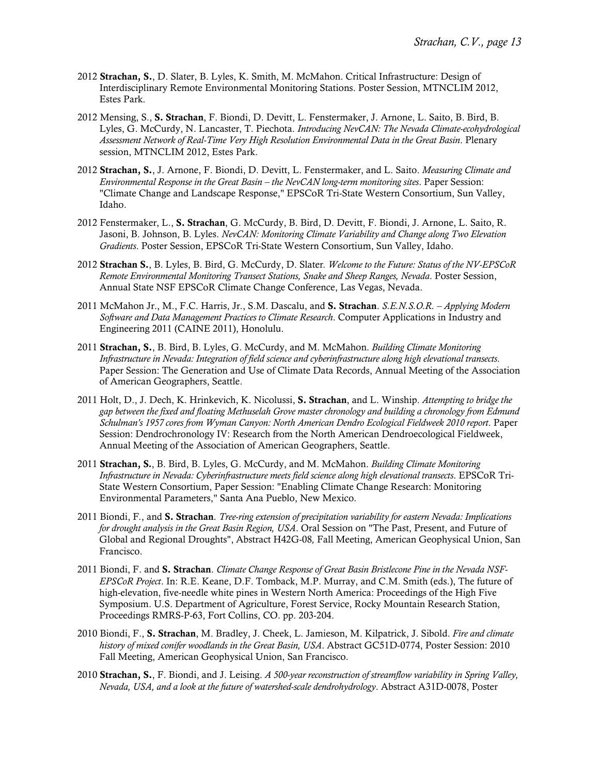- 2012 Strachan, S., D. Slater, B. Lyles, K. Smith, M. McMahon. Critical Infrastructure: Design of Interdisciplinary Remote Environmental Monitoring Stations. Poster Session, MTNCLIM 2012, Estes Park.
- 2012 Mensing, S., S. Strachan, F. Biondi, D. Devitt, L. Fenstermaker, J. Arnone, L. Saito, B. Bird, B. Lyles, G. McCurdy, N. Lancaster, T. Piechota. *Introducing NevCAN: The Nevada Climate-ecohydrological Assessment Network of Real-Time Very High Resolution Environmental Data in the Great Basin*. Plenary session, MTNCLIM 2012, Estes Park.
- 2012 Strachan, S., J. Arnone, F. Biondi, D. Devitt, L. Fenstermaker, and L. Saito. *Measuring Climate and Environmental Response in the Great Basin – the NevCAN long-term monitoring sites*. Paper Session: "Climate Change and Landscape Response," EPSCoR Tri-State Western Consortium, Sun Valley, Idaho.
- 2012 Fenstermaker, L., S. Strachan, G. McCurdy, B. Bird, D. Devitt, F. Biondi, J. Arnone, L. Saito, R. Jasoni, B. Johnson, B. Lyles. *NevCAN: Monitoring Climate Variability and Change along Two Elevation Gradients*. Poster Session, EPSCoR Tri-State Western Consortium, Sun Valley, Idaho.
- 2012 Strachan S., B. Lyles, B. Bird, G. McCurdy, D. Slater*. Welcome to the Future: Status of the NV-EPSCoR Remote Environmental Monitoring Transect Stations, Snake and Sheep Ranges, Nevada*. Poster Session, Annual State NSF EPSCoR Climate Change Conference, Las Vegas, Nevada.
- 2011 McMahon Jr., M., F.C. Harris, Jr., S.M. Dascalu, and S. Strachan. *S.E.N.S.O.R. – Applying Modern Software and Data Management Practices to Climate Research*. Computer Applications in Industry and Engineering 2011 (CAINE 2011), Honolulu.
- 2011 Strachan, S., B. Bird, B. Lyles, G. McCurdy, and M. McMahon. *Building Climate Monitoring Infrastructure in Nevada: Integration of field science and cyberinfrastructure along high elevational transects*. Paper Session: The Generation and Use of Climate Data Records, Annual Meeting of the Association of American Geographers, Seattle.
- 2011 Holt, D., J. Dech, K. Hrinkevich, K. Nicolussi, S. Strachan, and L. Winship. *Attempting to bridge the gap between the fixed and floating Methuselah Grove master chronology and building a chronology from Edmund Schulman's 1957 cores from Wyman Canyon: North American Dendro Ecological Fieldweek 2010 report*. Paper Session: Dendrochronology IV: Research from the North American Dendroecological Fieldweek, Annual Meeting of the Association of American Geographers, Seattle.
- 2011 Strachan, S*.*, B. Bird, B. Lyles, G. McCurdy, and M. McMahon. *Building Climate Monitoring Infrastructure in Nevada: Cyberinfrastructure meets field science along high elevational transects*. EPSCoR Tri-State Western Consortium, Paper Session: "Enabling Climate Change Research: Monitoring Environmental Parameters," Santa Ana Pueblo, New Mexico.
- 2011 Biondi, F*.*, and S. Strachan. *Tree-ring extension of precipitation variability for eastern Nevada: Implications for drought analysis in the Great Basin Region, USA*. Oral Session on "The Past, Present, and Future of Global and Regional Droughts", Abstract H42G-08*,* Fall Meeting, American Geophysical Union, San Francisco.
- 2011 Biondi, F. and S. Strachan. *Climate Change Response of Great Basin Bristlecone Pine in the Nevada NSF-EPSCoR Project*. In: R.E. Keane, D.F. Tomback, M.P. Murray, and C.M. Smith (eds.), The future of high-elevation, five-needle white pines in Western North America: Proceedings of the High Five Symposium. U.S. Department of Agriculture, Forest Service, Rocky Mountain Research Station, Proceedings RMRS-P-63, Fort Collins, CO. pp. 203-204.
- 2010 Biondi, F., S. Strachan, M. Bradley, J. Cheek, L. Jamieson, M. Kilpatrick, J. Sibold. *Fire and climate history of mixed conifer woodlands in the Great Basin, USA*. Abstract GC51D-0774, Poster Session: 2010 Fall Meeting, American Geophysical Union, San Francisco.
- 2010 Strachan, S., F. Biondi, and J. Leising. *A 500-year reconstruction of streamflow variability in Spring Valley, Nevada, USA, and a look at the future of watershed-scale dendrohydrology*. Abstract A31D-0078, Poster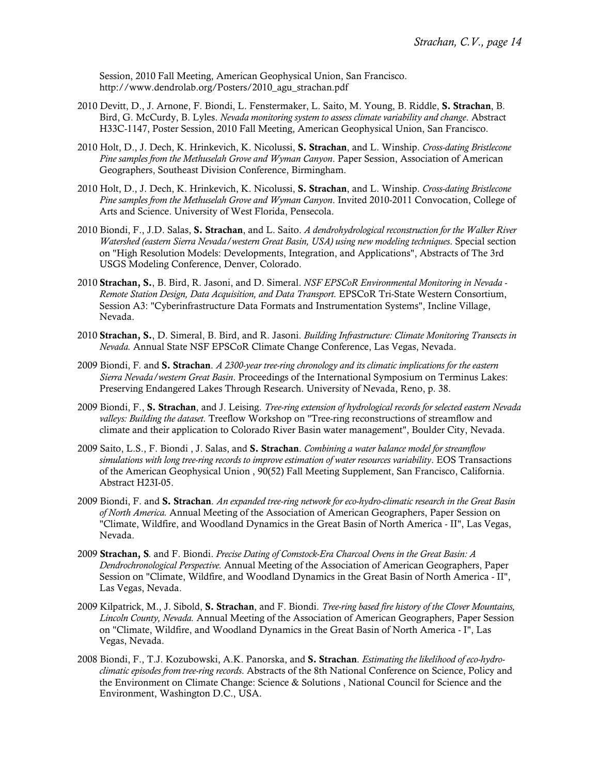Session, 2010 Fall Meeting, American Geophysical Union, San Francisco. http://www.dendrolab.org/Posters/2010\_agu\_strachan.pdf

- 2010 Devitt, D., J. Arnone, F. Biondi, L. Fenstermaker, L. Saito, M. Young, B. Riddle, S. Strachan, B. Bird, G. McCurdy, B. Lyles. *Nevada monitoring system to assess climate variability and change*. Abstract H33C-1147, Poster Session, 2010 Fall Meeting, American Geophysical Union, San Francisco.
- 2010 Holt, D., J. Dech, K. Hrinkevich, K. Nicolussi, S. Strachan, and L. Winship. *Cross-dating Bristlecone Pine samples from the Methuselah Grove and Wyman Canyon*. Paper Session, Association of American Geographers, Southeast Division Conference, Birmingham.
- 2010 Holt, D., J. Dech, K. Hrinkevich, K. Nicolussi, S. Strachan, and L. Winship. *Cross-dating Bristlecone Pine samples from the Methuselah Grove and Wyman Canyon*. Invited 2010-2011 Convocation, College of Arts and Science. University of West Florida, Pensecola.
- 2010 Biondi, F., J.D. Salas, S. Strachan, and L. Saito. *A dendrohydrological reconstruction for the Walker River Watershed (eastern Sierra Nevada/western Great Basin, USA) using new modeling techniques*. Special section on "High Resolution Models: Developments, Integration, and Applications", Abstracts of The 3rd USGS Modeling Conference, Denver, Colorado.
- 2010 Strachan, S., B. Bird, R. Jasoni, and D. Simeral. *NSF EPSCoR Environmental Monitoring in Nevada - Remote Station Design, Data Acquisition, and Data Transport.* EPSCoR Tri-State Western Consortium, Session A3: "Cyberinfrastructure Data Formats and Instrumentation Systems", Incline Village, Nevada.
- 2010 Strachan, S., D. Simeral, B. Bird, and R. Jasoni. *Building Infrastructure: Climate Monitoring Transects in Nevada.* Annual State NSF EPSCoR Climate Change Conference, Las Vegas, Nevada.
- 2009 Biondi, F*.* and S. Strachan. *A 2300-year tree-ring chronology and its climatic implications for the eastern Sierra Nevada/western Great Basin*. Proceedings of the International Symposium on Terminus Lakes: Preserving Endangered Lakes Through Research. University of Nevada, Reno, p. 38.
- 2009 Biondi, F., S. Strachan, and J. Leising. *Tree-ring extension of hydrological records for selected eastern Nevada valleys: Building the dataset.* Treeflow Workshop on "Tree-ring reconstructions of streamflow and climate and their application to Colorado River Basin water management", Boulder City, Nevada.
- 2009 Saito, L.S., F. Biondi , J. Salas, and S. Strachan. *Combining a water balance model for streamflow simulations with long tree-ring records to improve estimation of water resources variability*. EOS Transactions of the American Geophysical Union , 90(52) Fall Meeting Supplement, San Francisco, California. Abstract H23I-05.
- 2009 Biondi, F. and S. Strachan. *An expanded tree-ring network for eco-hydro-climatic research in the Great Basin of North America.* Annual Meeting of the Association of American Geographers, Paper Session on "Climate, Wildfire, and Woodland Dynamics in the Great Basin of North America - II", Las Vegas, Nevada.
- 2009 Strachan, S*.* and F. Biondi. *Precise Dating of Comstock-Era Charcoal Ovens in the Great Basin: A Dendrochronological Perspective.* Annual Meeting of the Association of American Geographers, Paper Session on "Climate, Wildfire, and Woodland Dynamics in the Great Basin of North America - II", Las Vegas, Nevada.
- 2009 Kilpatrick, M., J. Sibold, S. Strachan, and F. Biondi. *Tree-ring based fire history of the Clover Mountains, Lincoln County, Nevada.* Annual Meeting of the Association of American Geographers, Paper Session on "Climate, Wildfire, and Woodland Dynamics in the Great Basin of North America - I", Las Vegas, Nevada.
- 2008 Biondi, F., T.J. Kozubowski, A.K. Panorska, and S. Strachan. *Estimating the likelihood of eco-hydroclimatic episodes from tree-ring records*. Abstracts of the 8th National Conference on Science, Policy and the Environment on Climate Change: Science & Solutions , National Council for Science and the Environment, Washington D.C., USA.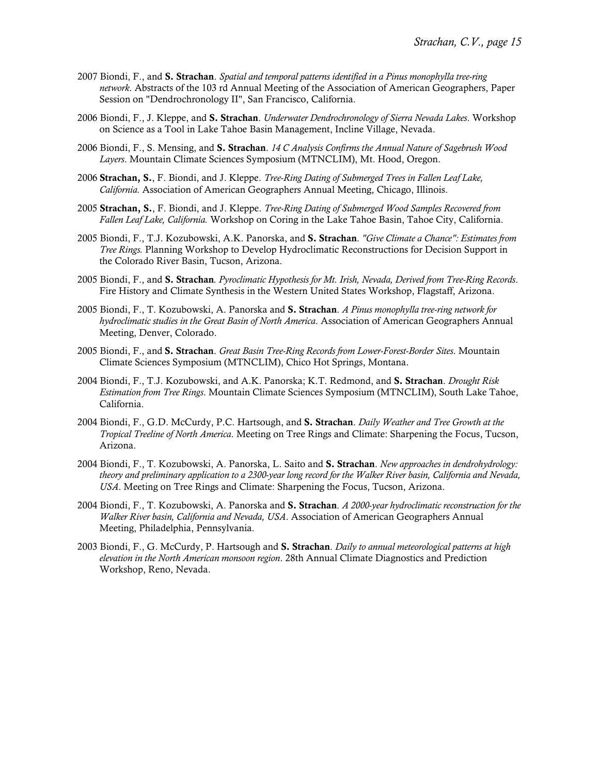- 2007 Biondi, F., and S. Strachan. *Spatial and temporal patterns identified in a Pinus monophylla tree-ring network*. Abstracts of the 103 rd Annual Meeting of the Association of American Geographers, Paper Session on "Dendrochronology II", San Francisco, California.
- 2006 Biondi, F., J. Kleppe, and S. Strachan. *Underwater Dendrochronology of Sierra Nevada Lakes*. Workshop on Science as a Tool in Lake Tahoe Basin Management, Incline Village, Nevada.
- 2006 Biondi, F., S. Mensing, and S. Strachan. *14 C Analysis Confirms the Annual Nature of Sagebrush Wood Layers*. Mountain Climate Sciences Symposium (MTNCLIM), Mt. Hood, Oregon.
- 2006 Strachan, S., F. Biondi, and J. Kleppe. *Tree-Ring Dating of Submerged Trees in Fallen Leaf Lake, California.* Association of American Geographers Annual Meeting, Chicago, Illinois.
- 2005 Strachan, S., F. Biondi, and J. Kleppe. *Tree-Ring Dating of Submerged Wood Samples Recovered from Fallen Leaf Lake, California.* Workshop on Coring in the Lake Tahoe Basin, Tahoe City, California.
- 2005 Biondi, F., T.J. Kozubowski, A.K. Panorska, and S. Strachan. *"Give Climate a Chance": Estimates from Tree Rings.* Planning Workshop to Develop Hydroclimatic Reconstructions for Decision Support in the Colorado River Basin, Tucson, Arizona.
- 2005 Biondi, F., and S. Strachan*. Pyroclimatic Hypothesis for Mt. Irish, Nevada, Derived from Tree-Ring Records*. Fire History and Climate Synthesis in the Western United States Workshop, Flagstaff, Arizona.
- 2005 Biondi, F., T. Kozubowski, A. Panorska and S. Strachan. *A Pinus monophylla tree-ring network for hydroclimatic studies in the Great Basin of North America*. Association of American Geographers Annual Meeting, Denver, Colorado.
- 2005 Biondi, F., and S. Strachan. *Great Basin Tree-Ring Records from Lower-Forest-Border Sites*. Mountain Climate Sciences Symposium (MTNCLIM), Chico Hot Springs, Montana.
- 2004 Biondi, F., T.J. Kozubowski, and A.K. Panorska; K.T. Redmond, and S. Strachan. *Drought Risk Estimation from Tree Rings*. Mountain Climate Sciences Symposium (MTNCLIM), South Lake Tahoe, California.
- 2004 Biondi, F., G.D. McCurdy, P.C. Hartsough, and S. Strachan. *Daily Weather and Tree Growth at the Tropical Treeline of North America*. Meeting on Tree Rings and Climate: Sharpening the Focus, Tucson, Arizona.
- 2004 Biondi, F., T. Kozubowski, A. Panorska, L. Saito and S. Strachan. *New approaches in dendrohydrology: theory and preliminary application to a 2300-year long record for the Walker River basin, California and Nevada, USA*. Meeting on Tree Rings and Climate: Sharpening the Focus, Tucson, Arizona.
- 2004 Biondi, F., T. Kozubowski, A. Panorska and S. Strachan. *A 2000-year hydroclimatic reconstruction for the Walker River basin, California and Nevada, USA*. Association of American Geographers Annual Meeting, Philadelphia, Pennsylvania.
- 2003 Biondi, F., G. McCurdy, P. Hartsough and S. Strachan. *Daily to annual meteorological patterns at high elevation in the North American monsoon region*. 28th Annual Climate Diagnostics and Prediction Workshop, Reno, Nevada.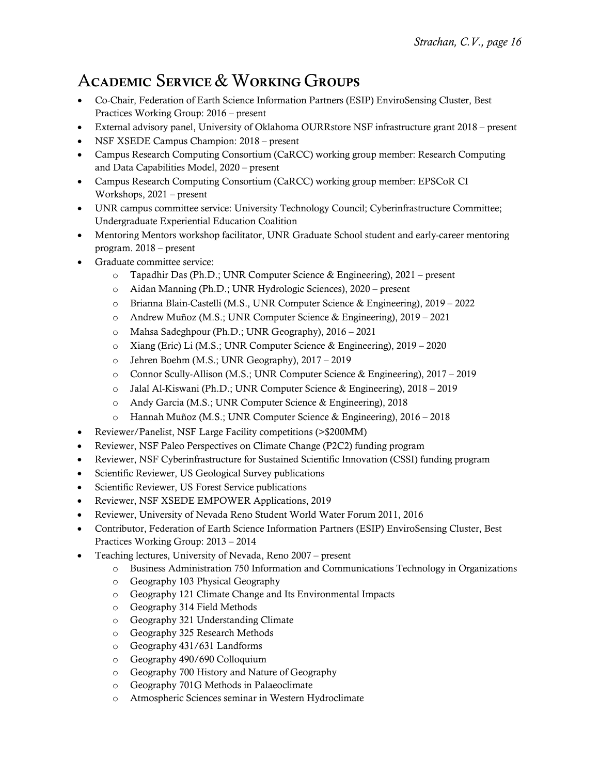# ACADEMIC SERVICE & WORKING GROUPS

- Co-Chair, Federation of Earth Science Information Partners (ESIP) EnviroSensing Cluster, Best Practices Working Group: 2016 – present
- External advisory panel, University of Oklahoma OURRstore NSF infrastructure grant 2018 present
- NSF XSEDE Campus Champion: 2018 present
- Campus Research Computing Consortium (CaRCC) working group member: Research Computing and Data Capabilities Model, 2020 – present
- Campus Research Computing Consortium (CaRCC) working group member: EPSCoR CI Workshops, 2021 – present
- UNR campus committee service: University Technology Council; Cyberinfrastructure Committee; Undergraduate Experiential Education Coalition
- Mentoring Mentors workshop facilitator, UNR Graduate School student and early-career mentoring program. 2018 – present
- Graduate committee service:
	- o Tapadhir Das (Ph.D.; UNR Computer Science & Engineering), 2021 present
	- o Aidan Manning (Ph.D.; UNR Hydrologic Sciences), 2020 present
	- o Brianna Blain-Castelli (M.S., UNR Computer Science & Engineering), 2019 2022
	- o Andrew Muñoz (M.S.; UNR Computer Science & Engineering), 2019 2021
	- o Mahsa Sadeghpour (Ph.D.; UNR Geography), 2016 2021
	- o Xiang (Eric) Li (M.S.; UNR Computer Science & Engineering), 2019 2020
	- o Jehren Boehm (M.S.; UNR Geography), 2017 2019
	- o Connor Scully-Allison (M.S.; UNR Computer Science & Engineering), 2017 2019
	- o Jalal Al-Kiswani (Ph.D.; UNR Computer Science & Engineering), 2018 2019
	- o Andy Garcia (M.S.; UNR Computer Science & Engineering), 2018
	- o Hannah Muñoz (M.S.; UNR Computer Science & Engineering), 2016 2018
- Reviewer/Panelist, NSF Large Facility competitions (>\$200MM)
- Reviewer, NSF Paleo Perspectives on Climate Change (P2C2) funding program
- Reviewer, NSF Cyberinfrastructure for Sustained Scientific Innovation (CSSI) funding program
- Scientific Reviewer, US Geological Survey publications
- Scientific Reviewer, US Forest Service publications
- Reviewer, NSF XSEDE EMPOWER Applications, 2019
- Reviewer, University of Nevada Reno Student World Water Forum 2011, 2016
- Contributor, Federation of Earth Science Information Partners (ESIP) EnviroSensing Cluster, Best Practices Working Group: 2013 – 2014
- Teaching lectures, University of Nevada, Reno 2007 present
	- o Business Administration 750 Information and Communications Technology in Organizations
	- o Geography 103 Physical Geography
	- o Geography 121 Climate Change and Its Environmental Impacts
	- o Geography 314 Field Methods
	- o Geography 321 Understanding Climate
	- o Geography 325 Research Methods
	- o Geography 431/631 Landforms
	- o Geography 490/690 Colloquium
	- o Geography 700 History and Nature of Geography
	- o Geography 701G Methods in Palaeoclimate
	- o Atmospheric Sciences seminar in Western Hydroclimate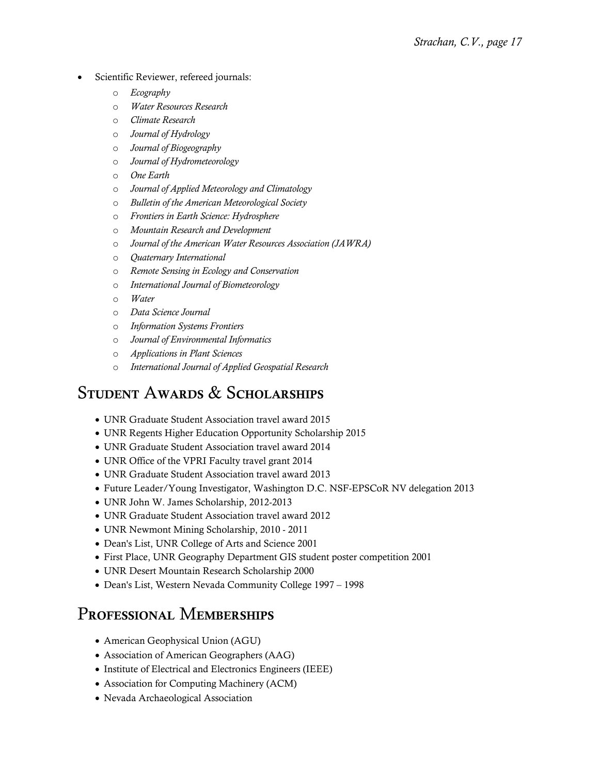- Scientific Reviewer, refereed journals:
	- o *Ecography*
	- o *Water Resources Research*
	- o *Climate Research*
	- o *Journal of Hydrology*
	- o *Journal of Biogeography*
	- o *Journal of Hydrometeorology*
	- o *One Earth*
	- o *Journal of Applied Meteorology and Climatology*
	- o *Bulletin of the American Meteorological Society*
	- o *Frontiers in Earth Science: Hydrosphere*
	- o *Mountain Research and Development*
	- o *Journal of the American Water Resources Association (JAWRA)*
	- o *Quaternary International*
	- o *Remote Sensing in Ecology and Conservation*
	- o *International Journal of Biometeorology*
	- o *Water*
	- o *Data Science Journal*
	- o *Information Systems Frontiers*
	- o *Journal of Environmental Informatics*
	- o *Applications in Plant Sciences*
	- o *International Journal of Applied Geospatial Research*

#### STUDENT AWARDS & SCHOLARSHIPS

- UNR Graduate Student Association travel award 2015
- UNR Regents Higher Education Opportunity Scholarship 2015
- UNR Graduate Student Association travel award 2014
- UNR Office of the VPRI Faculty travel grant 2014
- UNR Graduate Student Association travel award 2013
- Future Leader/Young Investigator, Washington D.C. NSF-EPSCoR NV delegation 2013
- UNR John W. James Scholarship, 2012-2013
- UNR Graduate Student Association travel award 2012
- UNR Newmont Mining Scholarship, 2010 2011
- Dean's List, UNR College of Arts and Science 2001
- First Place, UNR Geography Department GIS student poster competition 2001
- UNR Desert Mountain Research Scholarship 2000
- Dean's List, Western Nevada Community College 1997 1998

#### PROFESSIONAL MEMBERSHIPS

- American Geophysical Union (AGU)
- Association of American Geographers (AAG)
- Institute of Electrical and Electronics Engineers (IEEE)
- Association for Computing Machinery (ACM)
- Nevada Archaeological Association